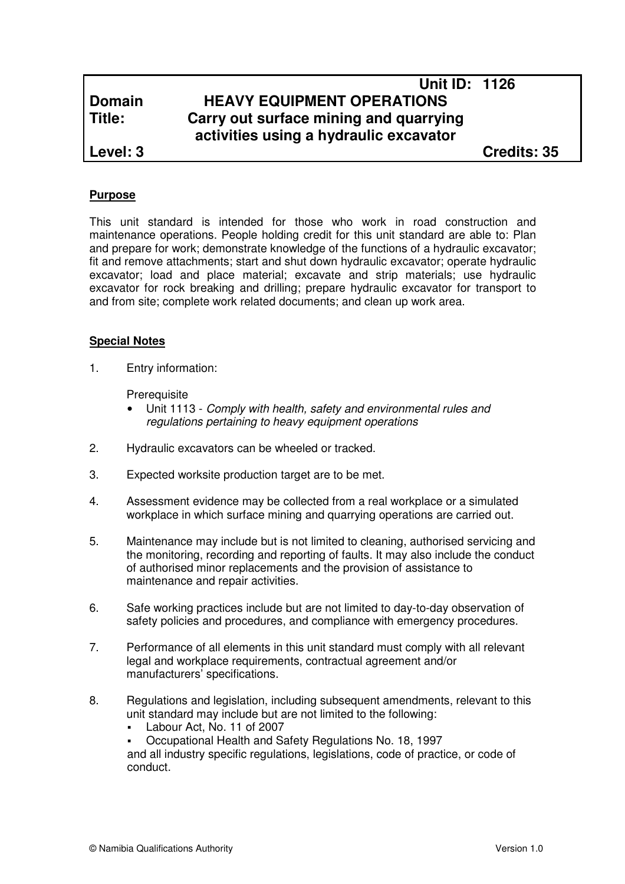# **Unit ID: 1126 Domain HEAVY EQUIPMENT OPERATIONS Title: Carry out surface mining and quarrying activities using a hydraulic excavator**

**Level: 3 Credits: 35**

# **Purpose**

This unit standard is intended for those who work in road construction and maintenance operations. People holding credit for this unit standard are able to: Plan and prepare for work; demonstrate knowledge of the functions of a hydraulic excavator; fit and remove attachments; start and shut down hydraulic excavator; operate hydraulic excavator; load and place material; excavate and strip materials; use hydraulic excavator for rock breaking and drilling; prepare hydraulic excavator for transport to and from site; complete work related documents; and clean up work area.

#### **Special Notes**

1. Entry information:

**Prerequisite** 

- Unit 1113 Comply with health, safety and environmental rules and regulations pertaining to heavy equipment operations
- 2. Hydraulic excavators can be wheeled or tracked.
- 3. Expected worksite production target are to be met.
- 4. Assessment evidence may be collected from a real workplace or a simulated workplace in which surface mining and quarrying operations are carried out.
- 5. Maintenance may include but is not limited to cleaning, authorised servicing and the monitoring, recording and reporting of faults. It may also include the conduct of authorised minor replacements and the provision of assistance to maintenance and repair activities.
- 6. Safe working practices include but are not limited to day-to-day observation of safety policies and procedures, and compliance with emergency procedures.
- 7. Performance of all elements in this unit standard must comply with all relevant legal and workplace requirements, contractual agreement and/or manufacturers' specifications.
- 8. Regulations and legislation, including subsequent amendments, relevant to this unit standard may include but are not limited to the following:
	- Labour Act, No. 11 of 2007
	- Occupational Health and Safety Regulations No. 18, 1997

and all industry specific regulations, legislations, code of practice, or code of conduct.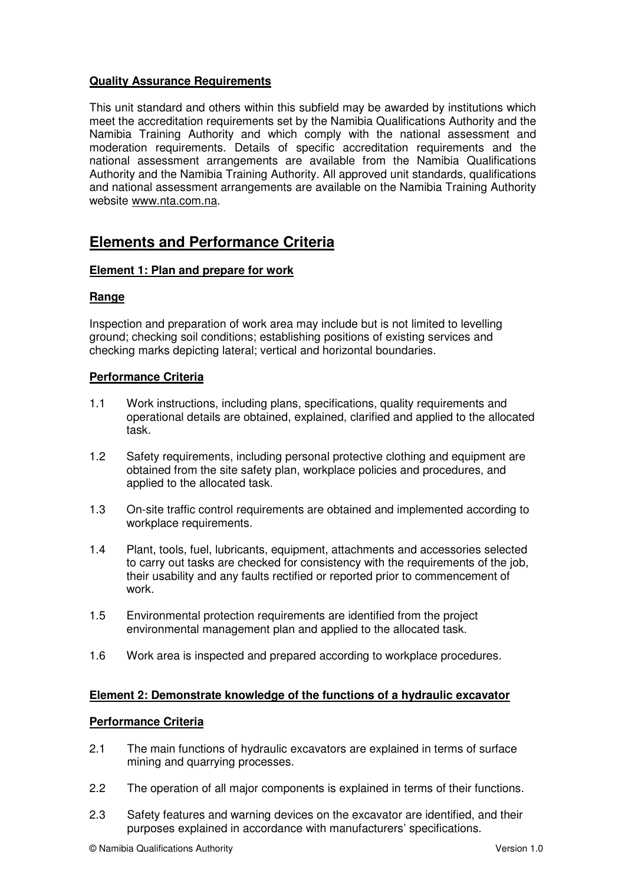# **Quality Assurance Requirements**

This unit standard and others within this subfield may be awarded by institutions which meet the accreditation requirements set by the Namibia Qualifications Authority and the Namibia Training Authority and which comply with the national assessment and moderation requirements. Details of specific accreditation requirements and the national assessment arrangements are available from the Namibia Qualifications Authority and the Namibia Training Authority. All approved unit standards, qualifications and national assessment arrangements are available on the Namibia Training Authority website www.nta.com.na.

# **Elements and Performance Criteria**

#### **Element 1: Plan and prepare for work**

#### **Range**

Inspection and preparation of work area may include but is not limited to levelling ground; checking soil conditions; establishing positions of existing services and checking marks depicting lateral; vertical and horizontal boundaries.

## **Performance Criteria**

- 1.1 Work instructions, including plans, specifications, quality requirements and operational details are obtained, explained, clarified and applied to the allocated task.
- 1.2 Safety requirements, including personal protective clothing and equipment are obtained from the site safety plan, workplace policies and procedures, and applied to the allocated task.
- 1.3 On-site traffic control requirements are obtained and implemented according to workplace requirements.
- 1.4 Plant, tools, fuel, lubricants, equipment, attachments and accessories selected to carry out tasks are checked for consistency with the requirements of the job, their usability and any faults rectified or reported prior to commencement of work.
- 1.5 Environmental protection requirements are identified from the project environmental management plan and applied to the allocated task.
- 1.6 Work area is inspected and prepared according to workplace procedures.

#### **Element 2: Demonstrate knowledge of the functions of a hydraulic excavator**

#### **Performance Criteria**

- 2.1 The main functions of hydraulic excavators are explained in terms of surface mining and quarrying processes.
- 2.2 The operation of all major components is explained in terms of their functions.
- 2.3 Safety features and warning devices on the excavator are identified, and their purposes explained in accordance with manufacturers' specifications.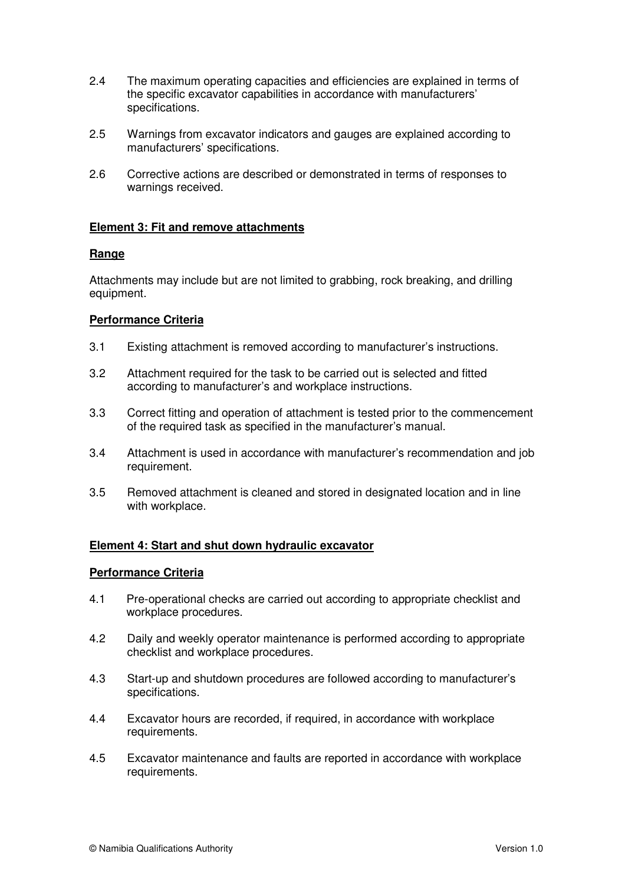- 2.4 The maximum operating capacities and efficiencies are explained in terms of the specific excavator capabilities in accordance with manufacturers' specifications.
- 2.5 Warnings from excavator indicators and gauges are explained according to manufacturers' specifications.
- 2.6 Corrective actions are described or demonstrated in terms of responses to warnings received.

#### **Element 3: Fit and remove attachments**

#### **Range**

Attachments may include but are not limited to grabbing, rock breaking, and drilling equipment.

## **Performance Criteria**

- 3.1 Existing attachment is removed according to manufacturer's instructions.
- 3.2 Attachment required for the task to be carried out is selected and fitted according to manufacturer's and workplace instructions.
- 3.3 Correct fitting and operation of attachment is tested prior to the commencement of the required task as specified in the manufacturer's manual.
- 3.4 Attachment is used in accordance with manufacturer's recommendation and job requirement.
- 3.5 Removed attachment is cleaned and stored in designated location and in line with workplace.

#### **Element 4: Start and shut down hydraulic excavator**

#### **Performance Criteria**

- 4.1 Pre-operational checks are carried out according to appropriate checklist and workplace procedures.
- 4.2 Daily and weekly operator maintenance is performed according to appropriate checklist and workplace procedures.
- 4.3 Start-up and shutdown procedures are followed according to manufacturer's specifications.
- 4.4 Excavator hours are recorded, if required, in accordance with workplace requirements.
- 4.5 Excavator maintenance and faults are reported in accordance with workplace requirements.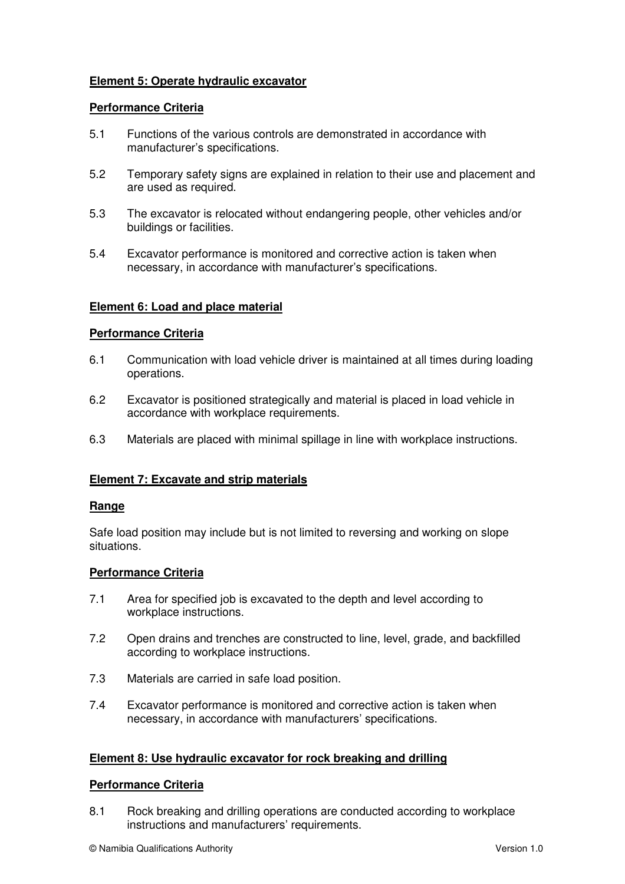# **Element 5: Operate hydraulic excavator**

#### **Performance Criteria**

- 5.1 Functions of the various controls are demonstrated in accordance with manufacturer's specifications.
- 5.2 Temporary safety signs are explained in relation to their use and placement and are used as required.
- 5.3 The excavator is relocated without endangering people, other vehicles and/or buildings or facilities.
- 5.4 Excavator performance is monitored and corrective action is taken when necessary, in accordance with manufacturer's specifications.

#### **Element 6: Load and place material**

#### **Performance Criteria**

- 6.1 Communication with load vehicle driver is maintained at all times during loading operations.
- 6.2 Excavator is positioned strategically and material is placed in load vehicle in accordance with workplace requirements.
- 6.3 Materials are placed with minimal spillage in line with workplace instructions.

#### **Element 7: Excavate and strip materials**

#### **Range**

Safe load position may include but is not limited to reversing and working on slope situations.

#### **Performance Criteria**

- 7.1 Area for specified job is excavated to the depth and level according to workplace instructions.
- 7.2 Open drains and trenches are constructed to line, level, grade, and backfilled according to workplace instructions.
- 7.3 Materials are carried in safe load position.
- 7.4 Excavator performance is monitored and corrective action is taken when necessary, in accordance with manufacturers' specifications.

#### **Element 8: Use hydraulic excavator for rock breaking and drilling**

#### **Performance Criteria**

8.1 Rock breaking and drilling operations are conducted according to workplace instructions and manufacturers' requirements.